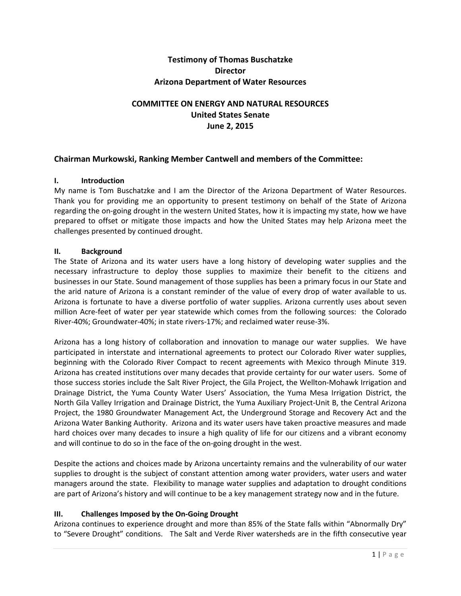## **Testimony of Thomas Buschatzke Director Arizona Department of Water Resources**

# **COMMITTEE ON ENERGY AND NATURAL RESOURCES United States Senate June 2, 2015**

### **Chairman Murkowski, Ranking Member Cantwell and members of the Committee:**

#### **I. Introduction**

My name is Tom Buschatzke and I am the Director of the Arizona Department of Water Resources. Thank you for providing me an opportunity to present testimony on behalf of the State of Arizona regarding the on-going drought in the western United States, how it is impacting my state, how we have prepared to offset or mitigate those impacts and how the United States may help Arizona meet the challenges presented by continued drought.

#### **II. Background**

The State of Arizona and its water users have a long history of developing water supplies and the necessary infrastructure to deploy those supplies to maximize their benefit to the citizens and businesses in our State. Sound management of those supplies has been a primary focus in our State and the arid nature of Arizona is a constant reminder of the value of every drop of water available to us. Arizona is fortunate to have a diverse portfolio of water supplies. Arizona currently uses about seven million Acre-feet of water per year statewide which comes from the following sources: the Colorado River-40%; Groundwater-40%; in state rivers-17%; and reclaimed water reuse-3%.

Arizona has a long history of collaboration and innovation to manage our water supplies. We have participated in interstate and international agreements to protect our Colorado River water supplies, beginning with the Colorado River Compact to recent agreements with Mexico through Minute 319. Arizona has created institutions over many decades that provide certainty for our water users. Some of those success stories include the Salt River Project, the Gila Project, the Wellton-Mohawk Irrigation and Drainage District, the Yuma County Water Users' Association, the Yuma Mesa Irrigation District, the North Gila Valley Irrigation and Drainage District, the Yuma Auxiliary Project-Unit B, the Central Arizona Project, the 1980 Groundwater Management Act, the Underground Storage and Recovery Act and the Arizona Water Banking Authority. Arizona and its water users have taken proactive measures and made hard choices over many decades to insure a high quality of life for our citizens and a vibrant economy and will continue to do so in the face of the on-going drought in the west.

Despite the actions and choices made by Arizona uncertainty remains and the vulnerability of our water supplies to drought is the subject of constant attention among water providers, water users and water managers around the state. Flexibility to manage water supplies and adaptation to drought conditions are part of Arizona's history and will continue to be a key management strategy now and in the future.

#### **III. Challenges Imposed by the On-Going Drought**

Arizona continues to experience drought and more than 85% of the State falls within "Abnormally Dry" to "Severe Drought" conditions. The Salt and Verde River watersheds are in the fifth consecutive year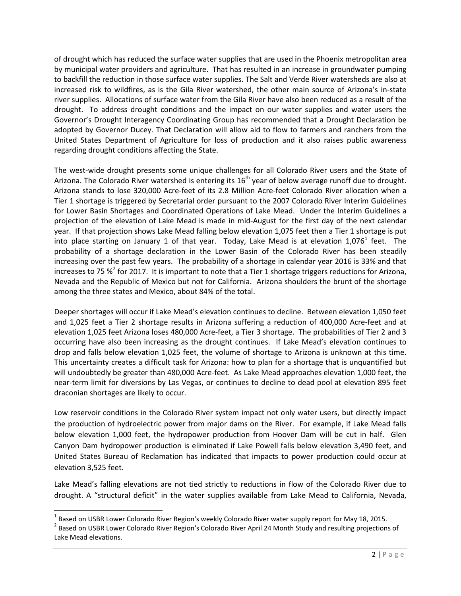of drought which has reduced the surface water supplies that are used in the Phoenix metropolitan area by municipal water providers and agriculture. That has resulted in an increase in groundwater pumping to backfill the reduction in those surface water supplies. The Salt and Verde River watersheds are also at increased risk to wildfires, as is the Gila River watershed, the other main source of Arizona's in-state river supplies. Allocations of surface water from the Gila River have also been reduced as a result of the drought. To address drought conditions and the impact on our water supplies and water users the Governor's Drought Interagency Coordinating Group has recommended that a Drought Declaration be adopted by Governor Ducey. That Declaration will allow aid to flow to farmers and ranchers from the United States Department of Agriculture for loss of production and it also raises public awareness regarding drought conditions affecting the State.

The west-wide drought presents some unique challenges for all Colorado River users and the State of Arizona. The Colorado River watershed is entering its 16<sup>th</sup> year of below average runoff due to drought. Arizona stands to lose 320,000 Acre-feet of its 2.8 Million Acre-feet Colorado River allocation when a Tier 1 shortage is triggered by Secretarial order pursuant to the 2007 Colorado River Interim Guidelines for Lower Basin Shortages and Coordinated Operations of Lake Mead. Under the Interim Guidelines a projection of the elevation of Lake Mead is made in mid-August for the first day of the next calendar year. If that projection shows Lake Mead falling below elevation 1,075 feet then a Tier 1 shortage is put into place starting on January [1](#page-1-0) of that year. Today, Lake Mead is at elevation 1,076<sup>1</sup> feet. The probability of a shortage declaration in the Lower Basin of the Colorado River has been steadily increasing over the past few years. The probability of a shortage in calendar year 2016 is 33% and that increases to 75  $\frac{1}{2}$  $\frac{1}{2}$  $\frac{1}{2}$  for 2017. It is important to note that a Tier 1 shortage triggers reductions for Arizona, Nevada and the Republic of Mexico but not for California. Arizona shoulders the brunt of the shortage among the three states and Mexico, about 84% of the total.

Deeper shortages will occur if Lake Mead's elevation continues to decline. Between elevation 1,050 feet and 1,025 feet a Tier 2 shortage results in Arizona suffering a reduction of 400,000 Acre-feet and at elevation 1,025 feet Arizona loses 480,000 Acre-feet, a Tier 3 shortage. The probabilities of Tier 2 and 3 occurring have also been increasing as the drought continues. If Lake Mead's elevation continues to drop and falls below elevation 1,025 feet, the volume of shortage to Arizona is unknown at this time. This uncertainty creates a difficult task for Arizona: how to plan for a shortage that is unquantified but will undoubtedly be greater than 480,000 Acre-feet. As Lake Mead approaches elevation 1,000 feet, the near-term limit for diversions by Las Vegas, or continues to decline to dead pool at elevation 895 feet draconian shortages are likely to occur.

Low reservoir conditions in the Colorado River system impact not only water users, but directly impact the production of hydroelectric power from major dams on the River. For example, if Lake Mead falls below elevation 1,000 feet, the hydropower production from Hoover Dam will be cut in half. Glen Canyon Dam hydropower production is eliminated if Lake Powell falls below elevation 3,490 feet, and United States Bureau of Reclamation has indicated that impacts to power production could occur at elevation 3,525 feet.

Lake Mead's falling elevations are not tied strictly to reductions in flow of the Colorado River due to drought. A "structural deficit" in the water supplies available from Lake Mead to California, Nevada,

<span id="page-1-1"></span><span id="page-1-0"></span><sup>&</sup>lt;sup>1</sup> Based on USBR Lower Colorado River Region's weekly Colorado River water supply report for May 18, 2015.<br><sup>2</sup> Based on USBR Lower Colorado River Region's Colorado River April 24 Month Study and resulting projections of Lake Mead elevations.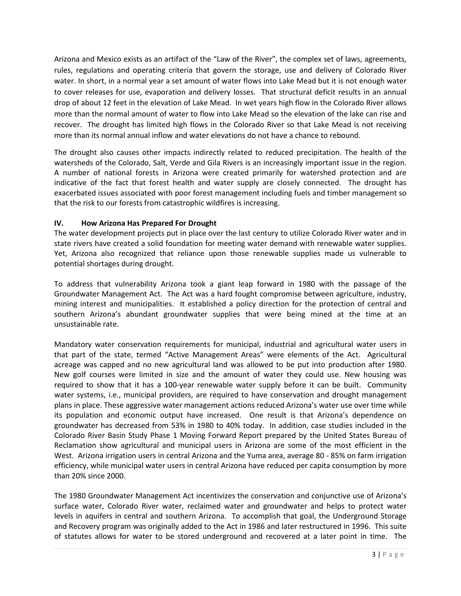Arizona and Mexico exists as an artifact of the "Law of the River", the complex set of laws, agreements, rules, regulations and operating criteria that govern the storage, use and delivery of Colorado River water. In short, in a normal year a set amount of water flows into Lake Mead but it is not enough water to cover releases for use, evaporation and delivery losses. That structural deficit results in an annual drop of about 12 feet in the elevation of Lake Mead. In wet years high flow in the Colorado River allows more than the normal amount of water to flow into Lake Mead so the elevation of the lake can rise and recover. The drought has limited high flows in the Colorado River so that Lake Mead is not receiving more than its normal annual inflow and water elevations do not have a chance to rebound.

The drought also causes other impacts indirectly related to reduced precipitation. The health of the watersheds of the Colorado, Salt, Verde and Gila Rivers is an increasingly important issue in the region. A number of national forests in Arizona were created primarily for watershed protection and are indicative of the fact that forest health and water supply are closely connected. The drought has exacerbated issues associated with poor forest management including fuels and timber management so that the risk to our forests from catastrophic wildfires is increasing.

### **IV. How Arizona Has Prepared For Drought**

The water development projects put in place over the last century to utilize Colorado River water and in state rivers have created a solid foundation for meeting water demand with renewable water supplies. Yet, Arizona also recognized that reliance upon those renewable supplies made us vulnerable to potential shortages during drought.

To address that vulnerability Arizona took a giant leap forward in 1980 with the passage of the Groundwater Management Act. The Act was a hard fought compromise between agriculture, industry, mining interest and municipalities. It established a policy direction for the protection of central and southern Arizona's abundant groundwater supplies that were being mined at the time at an unsustainable rate.

Mandatory water conservation requirements for municipal, industrial and agricultural water users in that part of the state, termed "Active Management Areas" were elements of the Act. Agricultural acreage was capped and no new agricultural land was allowed to be put into production after 1980. New golf courses were limited in size and the amount of water they could use. New housing was required to show that it has a 100-year renewable water supply before it can be built. Community water systems, i.e., municipal providers, are required to have conservation and drought management plans in place. These aggressive water management actions reduced Arizona's water use over time while its population and economic output have increased. One result is that Arizona's dependence on groundwater has decreased from 53% in 1980 to 40% today. In addition, case studies included in the Colorado River Basin Study Phase 1 Moving Forward Report prepared by the United States Bureau of Reclamation show agricultural and municipal users in Arizona are some of the most efficient in the West. Arizona irrigation users in central Arizona and the Yuma area, average 80 - 85% on farm irrigation efficiency, while municipal water users in central Arizona have reduced per capita consumption by more than 20% since 2000.

The 1980 Groundwater Management Act incentivizes the conservation and conjunctive use of Arizona's surface water, Colorado River water, reclaimed water and groundwater and helps to protect water levels in aquifers in central and southern Arizona. To accomplish that goal, the Underground Storage and Recovery program was originally added to the Act in 1986 and later restructured in 1996. This suite of statutes allows for water to be stored underground and recovered at a later point in time. The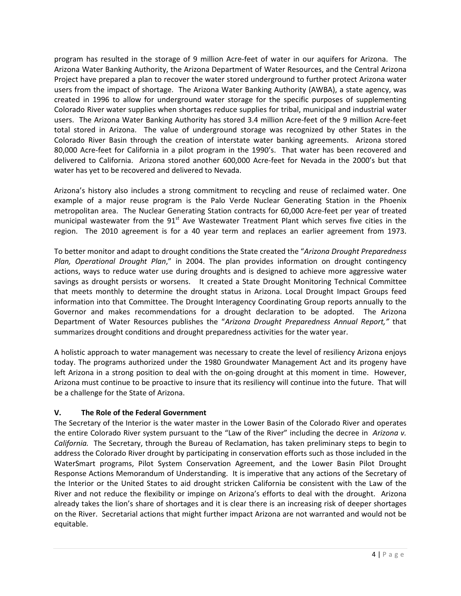program has resulted in the storage of 9 million Acre-feet of water in our aquifers for Arizona. The Arizona Water Banking Authority, the Arizona Department of Water Resources, and the Central Arizona Project have prepared a plan to recover the water stored underground to further protect Arizona water users from the impact of shortage. The Arizona Water Banking Authority (AWBA), a state agency, was created in 1996 to allow for underground water storage for the specific purposes of supplementing Colorado River water supplies when shortages reduce supplies for tribal, municipal and industrial water users. The Arizona Water Banking Authority has stored 3.4 million Acre-feet of the 9 million Acre-feet total stored in Arizona. The value of underground storage was recognized by other States in the Colorado River Basin through the creation of interstate water banking agreements. Arizona stored 80,000 Acre-feet for California in a pilot program in the 1990's. That water has been recovered and delivered to California. Arizona stored another 600,000 Acre-feet for Nevada in the 2000's but that water has yet to be recovered and delivered to Nevada.

Arizona's history also includes a strong commitment to recycling and reuse of reclaimed water. One example of a major reuse program is the Palo Verde Nuclear Generating Station in the Phoenix metropolitan area. The Nuclear Generating Station contracts for 60,000 Acre-feet per year of treated municipal wastewater from the  $91<sup>st</sup>$  Ave Wastewater Treatment Plant which serves five cities in the region. The 2010 agreement is for a 40 year term and replaces an earlier agreement from 1973.

To better monitor and adapt to drought conditions the State created the "*Arizona Drought Preparedness Plan, Operational Drought Plan*," in 2004. The plan provides information on drought contingency actions, ways to reduce water use during droughts and is designed to achieve more aggressive water savings as drought persists or worsens. It created a State Drought Monitoring Technical Committee that meets monthly to determine the drought status in Arizona. Local Drought Impact Groups feed information into that Committee. The Drought Interagency Coordinating Group reports annually to the Governor and makes recommendations for a drought declaration to be adopted. The Arizona Department of Water Resources publishes the "*Arizona Drought Preparedness Annual Report,"* that summarizes drought conditions and drought preparedness activities for the water year.

A holistic approach to water management was necessary to create the level of resiliency Arizona enjoys today. The programs authorized under the 1980 Groundwater Management Act and its progeny have left Arizona in a strong position to deal with the on-going drought at this moment in time. However, Arizona must continue to be proactive to insure that its resiliency will continue into the future. That will be a challenge for the State of Arizona.

# **V. The Role of the Federal Government**

The Secretary of the Interior is the water master in the Lower Basin of the Colorado River and operates the entire Colorado River system pursuant to the "Law of the River" including the decree in *Arizona v. California.* The Secretary, through the Bureau of Reclamation, has taken preliminary steps to begin to address the Colorado River drought by participating in conservation efforts such as those included in the WaterSmart programs, Pilot System Conservation Agreement, and the Lower Basin Pilot Drought Response Actions Memorandum of Understanding. It is imperative that any actions of the Secretary of the Interior or the United States to aid drought stricken California be consistent with the Law of the River and not reduce the flexibility or impinge on Arizona's efforts to deal with the drought. Arizona already takes the lion's share of shortages and it is clear there is an increasing risk of deeper shortages on the River. Secretarial actions that might further impact Arizona are not warranted and would not be equitable.